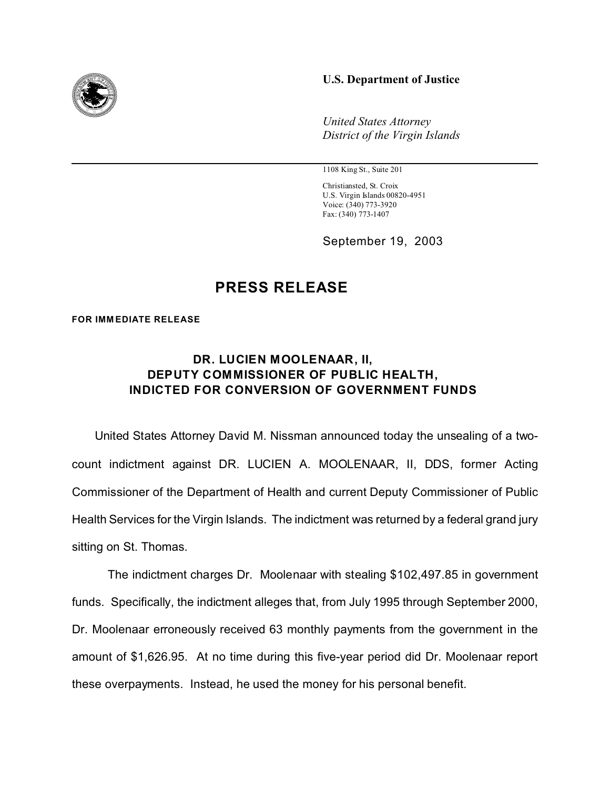## **U.S. Department of Justice**



1108 King St., Suite 201

Christiansted, St. Croix U.S. Virgin Islands 00820-4951 Voice: (340) 773-3920 Fax: (340) 773-1407

September 19, 2003

## **PRESS RELEASE**

**FOR IMMEDIATE RELEASE** 

## **DR. LUCIEN MOOLENAAR, II, DEPUTY COMMISSIONER OF PUBLIC HEALTH, INDICTED FOR CONVERSION OF GOVERNMENT FUNDS**

 United States Attorney David M. Nissman announced today the unsealing of a twocount indictment against DR. LUCIEN A. MOOLENAAR, II, DDS, former Acting Commissioner of the Department of Health and current Deputy Commissioner of Public Health Services for the Virgin Islands. The indictment was returned by a federal grand jury sitting on St. Thomas.

The indictment charges Dr. Moolenaar with stealing \$102,497.85 in government funds. Specifically, the indictment alleges that, from July 1995 through September 2000, Dr. Moolenaar erroneously received 63 monthly payments from the government in the amount of \$1,626.95. At no time during this five-year period did Dr. Moolenaar report these overpayments. Instead, he used the money for his personal benefit.